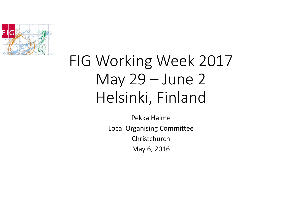

#### FIG Working Week 2017May 29 – June 2Helsinki, Finland

Pekka HalmeLocal Organising Committee ChristchurchMay 6, 2016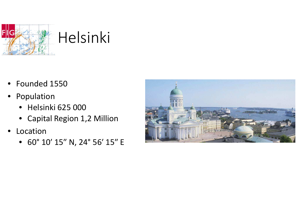

- •Founded 1550
- • Population
	- Helsinki 625 000
	- Capital Region 1,2 Million
- • Location
	- 60° 10′ 15″ N, 24° 56′ 15″ <sup>E</sup>

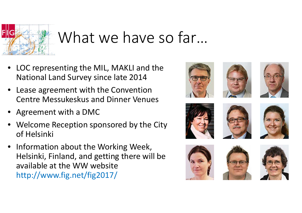

#### What we have so far...

- • LOC representing the MIL, MAKLI and the National Land Survey since late 2014
- • Lease agreement with the Convention Centre Messukeskus and Dinner Venues
- •Agreement with a DMC
- • Welcome Reception sponsored by the City of Helsinki
- • Information about the Working Week, Helsinki, Finland, and getting there will be available at the WW website http://www.fig.net/fig2017/

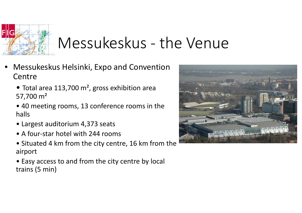

# Messukeskus - the Venue

- • Messukeskus Helsinki, Expo and Convention **Centre** 
	- Total area 113,700 m<sup>2</sup>, gross exhibition area 57,700 m²
	- 40 meeting rooms, 13 conference rooms in the halls
	- Largest auditorium 4,373 seats
	- A four-star hotel with 244 rooms
	- Situated 4 km from the city centre, 16 km from the airport
	- Easy access to and from the city centre by local trains (5 min)

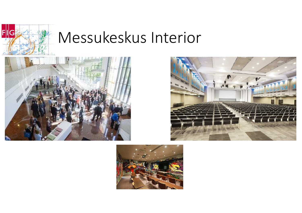

# Messukeskus Interior





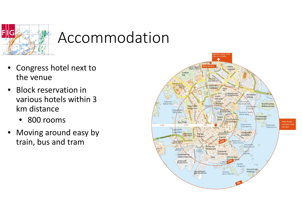

## Accommodation

- • Congress hotel next to the venue
- • Block reservation in various hotels within 3 km distance
	- 800 rooms
- • Moving around easy by train, bus and tram

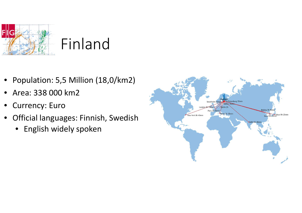

- Population: 5,5 Million (18,0/km2)
- •Area: 338 000 km2
- •Currency: Euro
- • Official languages: Finnish, Swedish
	- •English widely spoken

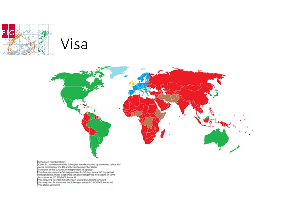

### Visa



Visa status unknown

Schengen member states<br>
Coher EU members outside Schengen Area but bound by same visa policy and<br>
special territories of the EU and Schengen member states<br>
Members of the EU with an independent visa policy<br>
Visa-free acces

<u> La abola de la componenta de la contra de la contra de la contra de la contra de la contra de la contra de la </u>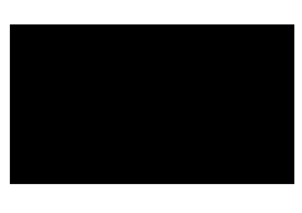